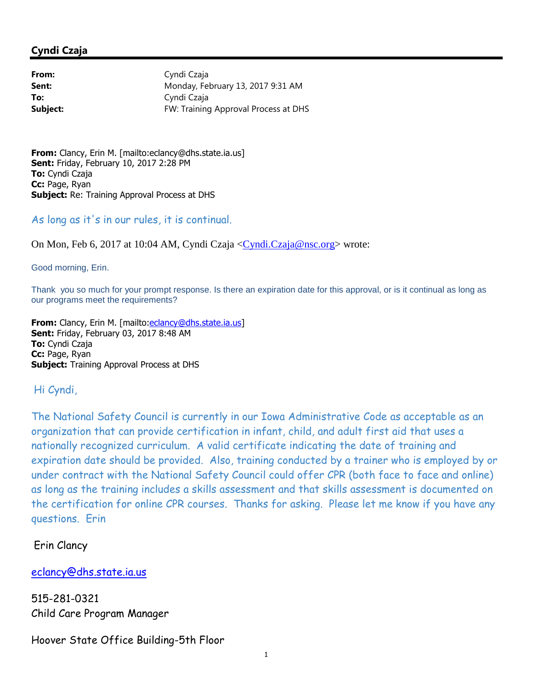## **Cyndi Czaja**

| From:    | Cyndi Czaja                          |
|----------|--------------------------------------|
| Sent:    | Monday, February 13, 2017 9:31 AM    |
| To:      | Cyndi Czaja                          |
| Subject: | FW: Training Approval Process at DHS |

**From:** Clancy, Erin M. [mailto:eclancy@dhs.state.ia.us] **Sent:** Friday, February 10, 2017 2:28 PM **To:** Cyndi Czaja **Cc:** Page, Ryan **Subject:** Re: Training Approval Process at DHS

As long as it's in our rules, it is continual.

On Mon, Feb 6, 2017 at 10:04 AM, Cyndi Czaja <Cyndi.Czaja@nsc.org> wrote:

Good morning, Erin.

Thank you so much for your prompt response. Is there an expiration date for this approval, or is it continual as long as our programs meet the requirements?

From: Clancy, Erin M. [mailto:eclancy@dhs.state.ia.us] **Sent:** Friday, February 03, 2017 8:48 AM **To:** Cyndi Czaja **Cc:** Page, Ryan **Subject:** Training Approval Process at DHS

## Hi Cyndi,

The National Safety Council is currently in our Iowa Administrative Code as acceptable as an organization that can provide certification in infant, child, and adult first aid that uses a nationally recognized curriculum. A valid certificate indicating the date of training and expiration date should be provided. Also, training conducted by a trainer who is employed by or under contract with the National Safety Council could offer CPR (both face to face and online) as long as the training includes a skills assessment and that skills assessment is documented on the certification for online CPR courses. Thanks for asking. Please let me know if you have any questions. Erin

Erin Clancy

eclancy@dhs.state.ia.us

515-281-0321 Child Care Program Manager

## Hoover State Office Building-5th Floor